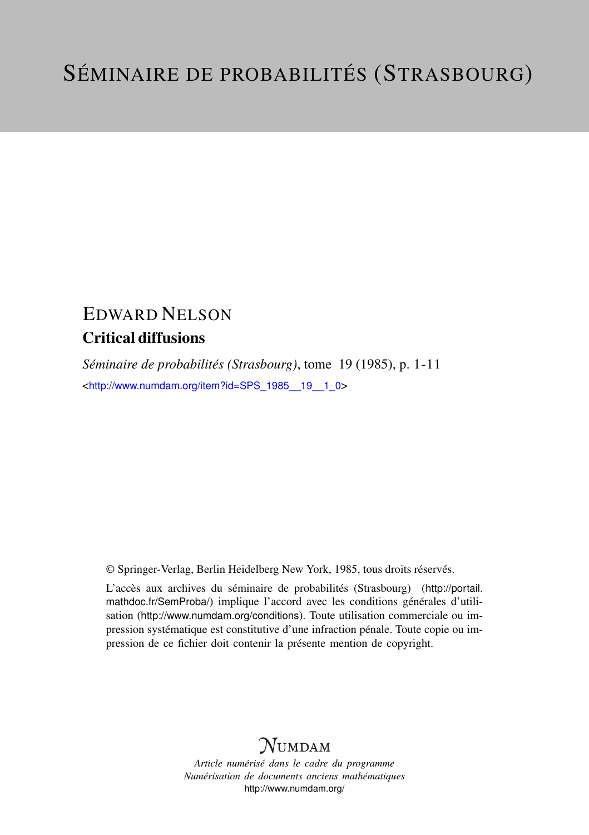# EDWARD NELSON Critical diffusions

*Séminaire de probabilités (Strasbourg)*, tome 19 (1985), p. 1-11 <[http://www.numdam.org/item?id=SPS\\_1985\\_\\_19\\_\\_1\\_0](http://www.numdam.org/item?id=SPS_1985__19__1_0)>

© Springer-Verlag, Berlin Heidelberg New York, 1985, tous droits réservés.

L'accès aux archives du séminaire de probabilités (Strasbourg) ([http://portail.](http://portail.mathdoc.fr/SemProba/) [mathdoc.fr/SemProba/](http://portail.mathdoc.fr/SemProba/)) implique l'accord avec les conditions générales d'utilisation (<http://www.numdam.org/conditions>). Toute utilisation commerciale ou impression systématique est constitutive d'une infraction pénale. Toute copie ou impression de ce fichier doit contenir la présente mention de copyright.

# **NUMDAM**

*Article numérisé dans le cadre du programme Numérisation de documents anciens mathématiques* <http://www.numdam.org/>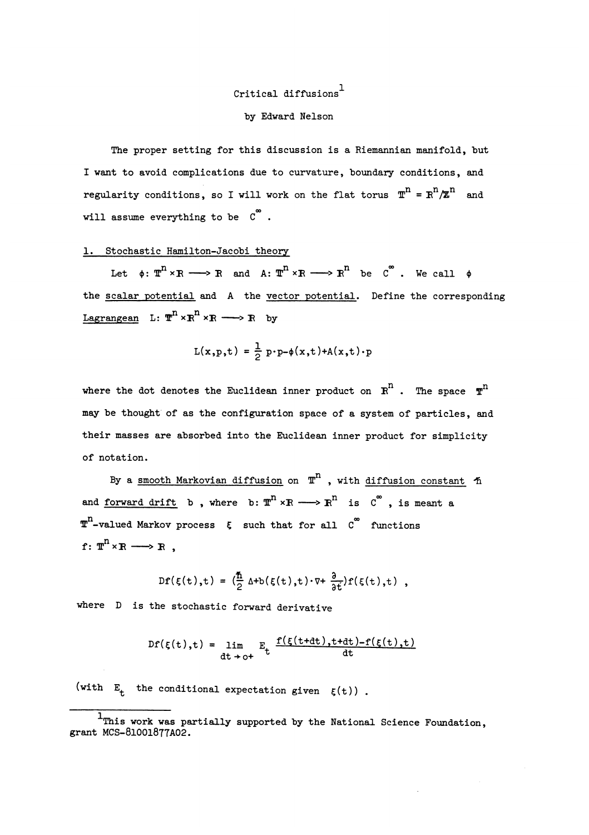# Critical diffusions<sup>1</sup> by Edward Nelson

The proper setting for this discussion is a Riemannian manifold, but I want to avoid complications due to curvature, boundary conditions, and regularity conditions, so I will work on the flat torus  $\mathbb{T}^n = \mathbb{R}^n / \mathbb{Z}^n$  and will assume everything to be  $C^{o}$ .

## 1. Stochastic Hamilton-Jacobi theory

Let  $\phi: \mathbb{T}^n \times \mathbb{R} \longrightarrow \mathbb{R}$  and  $A: \mathbb{T}^n \times \mathbb{R} \longrightarrow \mathbb{R}^n$  be  $\mathbb{C}^{\infty}$ . We call  $\phi$ the scalar potential and A the vector potential. Define the corresponding Lagrangean L:  $\mathbb{T}^n \times \mathbb{R}^n \times \mathbb{R} \longrightarrow \mathbb{R}$  by

$$
L(x, p, t) = \frac{1}{2} p \cdot p - \phi(x, t) + A(x, t) \cdot p
$$

where the dot denotes the Euclidean inner product on  $R^n$ . The space  $T^n$ may be thought' of as the configuration space of a system of particles, and their masses are absorbed into the Euclidean inner product for simplicity of notation.

By a smooth Markovian diffusion on  $T^n$  , with diffusion constant  $\tilde{\eta}$ and forward drift b, where b:  $\overline{x}^n \times R \longrightarrow R^n$  is  $C^{\infty}$ , is meant a  $\overline{x}^n$ -valued Markov process  $\zeta$  such that for all  $\overline{C}^n$  functions  $f: \mathbb{T}^n \times \mathbb{R} \longrightarrow \mathbb{R}$ .

$$
Df(\xi(t),t) = (\frac{\hbar}{2} \Delta + b(\xi(t),t) \cdot \nabla + \frac{\partial}{\partial t}) f(\xi(t),t) ,
$$

where D is the stochastic forward derivative

$$
DF(\xi(t),t) = \lim_{\text{dt}\to 0^+} E_t \frac{f(\xi(t+dt),t+dt)-f(\xi(t),t)}{dt}
$$

(with  $E_t$  the conditional expectation given  $\xi(t)$ ).

<sup>&</sup>lt;sup>1</sup>This work was partially supported by the National Science Foundation, grant MCS-81001\$T7A02.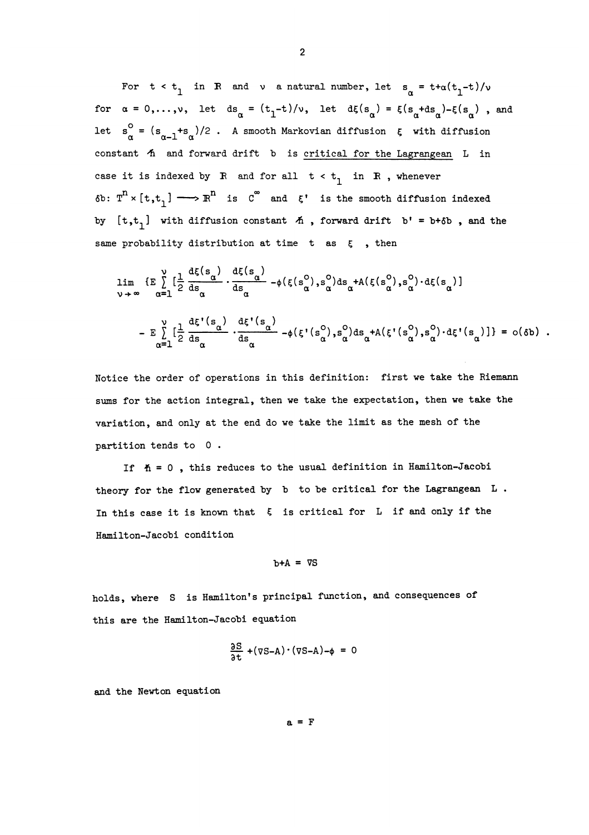For  $t < t_1$  in R and v a natural number, let  $s_\alpha = t + \alpha(t_1 - t)/\nu$ for  $\alpha = 0,...,v$ , let ds<sub>n</sub> =  $(t_1-t)/v$ , let d $\xi(s_n) = \xi(s_n+ds_n)-\xi(s_n)$ , and let  $s_{\alpha}^{0} = (s_{\alpha-1} + s_{\alpha})/2$ . A smooth Markovian diffusion  $\xi$  with diffusion constant  $A$  and forward drift b is critical for the Lagrangean  $L$  in case it is indexed by R and for all  $t < t_1$  in R, whenever  $\delta b: T^{n} \times [\tau, t] \longrightarrow \mathbb{R}^{n}$  is  $C^{\infty}$  and  $\xi'$  is the smooth diffusion indexed by  $[t, t_1]$  with diffusion constant  $\tilde{n}$ , forward drift  $b' = b + \delta b$ , and the same probability distribution at time t as  $\xi$ , then

$$
\lim_{\nu \to \infty} \{E \int_{\alpha=1}^{\nu} \left[ \frac{1}{2} \frac{d\xi(s_{\alpha})}{ds_{\alpha}} \cdot \frac{d\xi(s_{\alpha})}{ds_{\alpha}} - \phi(\xi(s_{\alpha}^{0}), s_{\alpha}^{0}) ds_{\alpha} + A(\xi(s_{\alpha}^{0}), s_{\alpha}^{0}) \cdot d\xi(s_{\alpha}) \right] \}
$$
\n
$$
- E \int_{\alpha=1}^{\nu} \left[ \frac{1}{2} \frac{d\xi'(s_{\alpha})}{ds_{\alpha}} \cdot \frac{d\xi'(s_{\alpha})}{ds_{\alpha}} - \phi(\xi'(s_{\alpha}^{0}), s_{\alpha}^{0}) ds_{\alpha} + A(\xi'(s_{\alpha}^{0}), s_{\alpha}^{0}) \cdot d\xi'(s_{\alpha}) \right] \} = o(\delta b) .
$$

Notice the order of operations in this definition: first we take the Riemann sums for the action integral, then we take the expectation, then we take the variation, and only at the end do we take the limit as the mesh of the partition tends to 0 .

If  $h = 0$ , this reduces to the usual definition in Hamilton-Jacobi theory for the flow generated by b to be critical for the Lagrangean L. In this case it is known that  $\xi$  is critical for L if and only if the Hamilton-Jacobi condition

#### $b+A = \nabla S$

holds, where S is Hamilton's principal function, and consequences of this are the Hamilton-Jacobi equation

$$
\frac{\partial S}{\partial t} + (\nabla S - A) \cdot (\nabla S - A) - \phi = 0
$$

and the Newton equation

 $a = F$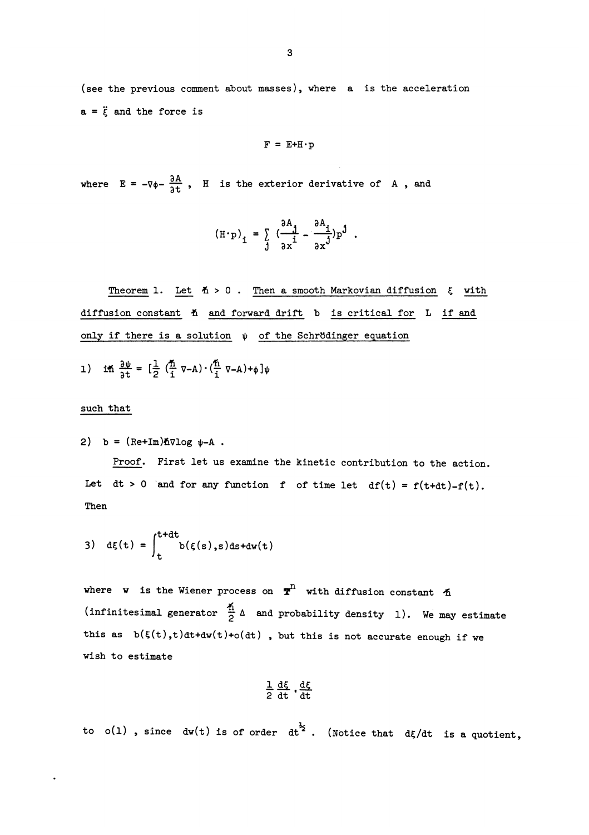(see the previous comment about masses), where a is the acceleration  $a = \ddot{\epsilon}$  and the force is

$$
F = E + H \cdot p
$$

where  $E = -\nabla \phi - \frac{\partial A}{\partial t}$ , H is the exterior derivative of A, and

$$
(\mathrm{H} \cdot \mathrm{p})_{\mathbf{i}} = \int_{\mathbf{j}}^{\mathbf{a}} \frac{\partial \mathrm{A}_{\mathbf{i}}}{\partial x^{\mathbf{i}}} - \frac{\partial \mathrm{A}_{\mathbf{i}}}{\partial x^{\mathbf{j}}} \mathrm{p}^{\mathbf{j}}.
$$

Theorem 1. Let  $#$  > 0. Then a smooth Markovian diffusion  $\xi$  with diffusion constant  $A$  and forward drift b is critical for L if and only if there is a solution  $\psi$  of the Schrödinger equation

1) in  $\frac{\partial \psi}{\partial t} = \left[\frac{1}{2} \left(\frac{\pi}{i} \nabla - A\right) \cdot \left(\frac{\pi}{i} \nabla - A\right) + \phi\right] \psi$ 

### such that

2) b =  $(Re+Im)$ *h* $\nabla log \psi - A$ .

Proof. First let us examine the kinetic contribution to the action. Let  $dt > 0$  and for any function f of time let  $df(t) = f(t+dt)-f(t)$ . Then

3) 
$$
d\xi(t) = \int_{t}^{t+dt} b(\xi(s),s)ds + dw(t)
$$

where w is the Wiener process on  $\mathbf{\overline{T}}^n$  with diffusion constant  $\Delta$ (infinitesimal generator  $\frac{\hbar}{2}$   $\Delta$  and probability density 1). We may estimate this as  $b(\xi(t),t)dt+dw(t)+o(dt)$ , but this is not accurate enough if we wish to estimate

$$
\frac{1}{2} \frac{d\xi}{dt}, \frac{d\xi}{dt}
$$

to o(1), since  $dw(t)$  is of order  $dt^2$ . (Notice that  $d\xi/dt$  is a quotient,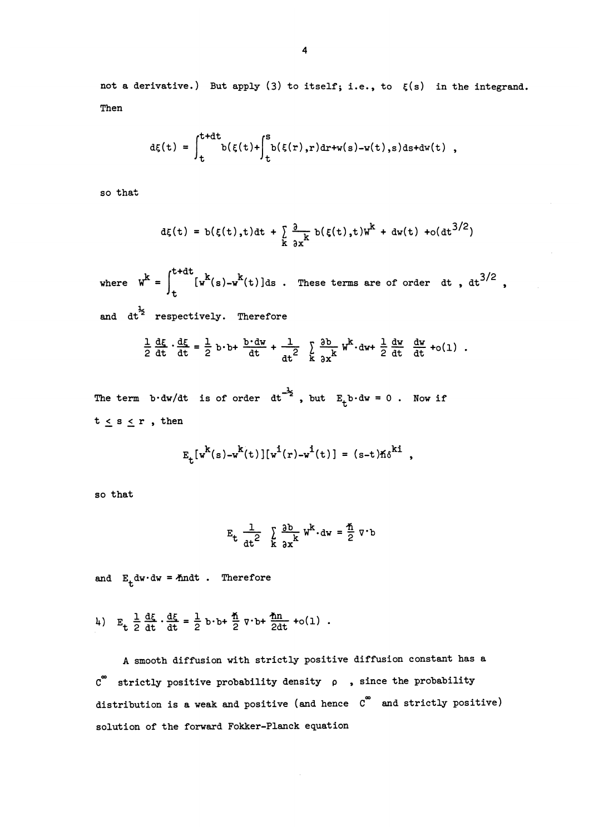not a derivative.) But apply (3) to itself; i.e., to  $\zeta(s)$  in the integrand. Then

$$
d\xi(t) = \int_t^{t+dt} b(\xi(t) + \int_t^s b(\xi(r),r)dr + w(s) - w(t),s)ds + dw(t) ,
$$

so that

$$
d\xi(t) = b(\xi(t),t)dt + \sum_{k} \frac{\partial}{\partial x^{k}} b(\xi(t),t)W^{k} + dw(t) + o(dt^{3/2})
$$

where  $W^k = \int_{+}^{t+dt} [w^k(s)-w^k(t)]ds$ . These terms are of order dt, dt<sup>3/2</sup>, and  $dt^2$  respectively. Therefore

$$
\frac{1}{2}\frac{d\xi}{dt}\cdot\frac{d\xi}{dt}=\frac{1}{2}b\cdot b+\frac{b\cdot dw}{dt}+\frac{1}{dt^2}\sum_{k}\frac{\partial b}{\partial x^k}w^k\cdot dw+\frac{1}{2}\frac{dw}{dt}\frac{dw}{dt}+o(1).
$$

The term b.dw/dt is of order  $dt^{-\frac{1}{2}}$ , but  $E_t$ b.dw = 0. Now if  $t \leq s \leq r$ , then

$$
E_{t}[w^{k}(s)-w^{k}(t)][w^{i}(r)-w^{i}(t)] = (s-t)\hbar\delta^{ki}
$$

so that

$$
E_t = \frac{1}{at^2} \sum_{k=0}^{\infty} \frac{\partial b}{\partial x^k} w^k \cdot dw = \frac{\pi}{2} \nabla \cdot b
$$

and  $E_+ dw \cdot dw = \text{And }$ . Therefore

4)  $E_t$   $\frac{1}{2} \frac{d\xi}{dt} \cdot \frac{d\xi}{dt} = \frac{1}{2} b \cdot b + \frac{\hbar}{2} \nabla \cdot b + \frac{\hbar n}{2dt} + o(1)$ .

A smooth diffusion with strictly positive diffusion constant has a  $C^{^{\infty}}$  strictly positive probability density  $\rho$ , since the probability distribution is a weak and positive (and hence  $C^{\infty}$  and strictly positive) solution of the forward Fokker-Planck equation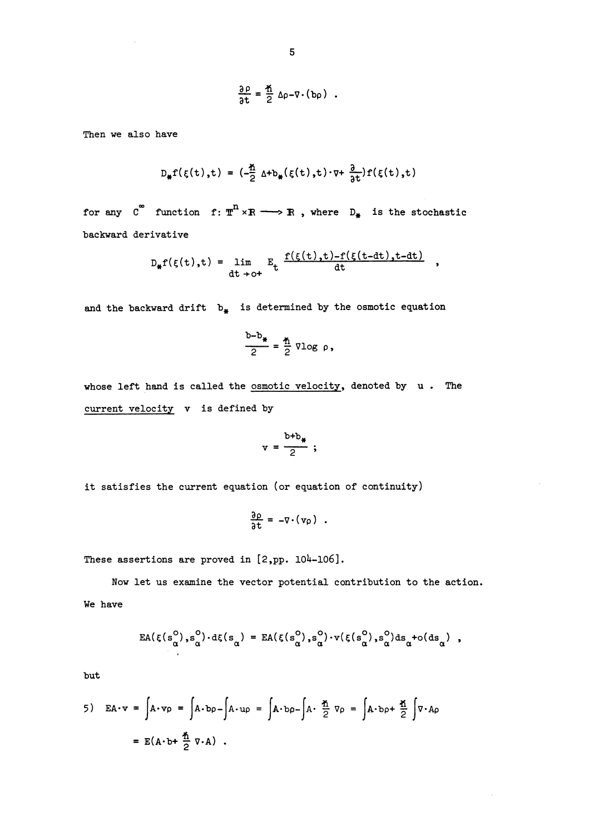$$
\frac{\partial \rho}{\partial t} = \frac{\pi}{2} \Delta \rho - \nabla \cdot (b \rho) .
$$

Then we also have

$$
D_{\sharp}f(\xi(t),t) = (-\frac{\hbar}{2} \Delta + b_{\sharp}(\xi(t),t) \cdot \nabla + \frac{\partial}{\partial t})f(\xi(t),t)
$$

for any  $C^{\infty}$  function f:  $\pi^{n} \times R \longrightarrow R$ , where  $D_{*}$  is the stochastic backward derivative

$$
D_{\sharp}f(\xi(t),t) = \lim_{\text{dt}\to 0^+} E_{t} \frac{f(\xi(t),t)-f(\xi(t-dt),t-dt)}{dt},
$$

and the backward drift  $b_{\#}$  is determined by the osmotic equation

$$
\frac{b-b_*}{2} = \frac{\pi}{2} \text{ vlog } \rho,
$$

whose left hand is called the osmotic velocity, denoted by  $u$ . The current velocity v is defined by

$$
v = \frac{b+b_*}{2} ;
$$

it satisfies the current equation (or equation of continuity)

$$
\frac{\partial \rho}{\partial t} = -\nabla \cdot (v \rho) .
$$

These assertions are proved in  $[2, pp. 104-106]$ .

Now let us examine the vector potential contribution to the action. We have

$$
EA(\xi(s_\alpha^o), s_\alpha^o) \cdot d\xi(s_\alpha) = EA(\xi(s_\alpha^o), s_\alpha^o) \cdot v(\xi(s_\alpha^o), s_\alpha^o) ds_\alpha + o(ds_\alpha) ,
$$

but

5) 
$$
EA \cdot v = \int A \cdot vp - \int A \cdot up = \int A \cdot bp - \int A \cdot \frac{A}{2} \cdot vp = \int A \cdot bp + \frac{A}{2} \int \nabla \cdot Ap
$$
  
=  $E(A \cdot b + \frac{A}{2} \cdot \nabla \cdot A)$ .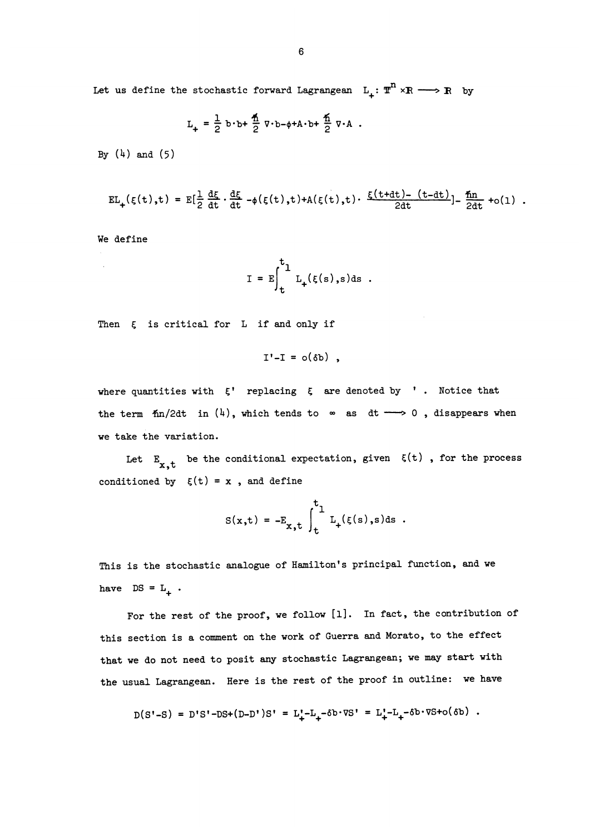Let us define the stochastic forward Lagrangean  $L_+: \mathbb{T}^n \times \mathbb{R} \longrightarrow \mathbb{R}$  by

$$
L_{+} = \frac{1}{2} b \cdot b + \frac{1}{2} \nabla \cdot b - \phi + A \cdot b + \frac{1}{2} \nabla \cdot A
$$

By  $(4)$  and  $(5)$ 

$$
EL_{+}(\xi(t),t) = E[\frac{1}{2}\frac{d\xi}{dt} \cdot \frac{d\xi}{dt} - \phi(\xi(t),t) + A(\xi(t),t) \cdot \frac{\xi(t+dt) - (t-dt)}{2dt}] - \frac{f_{\text{in}}}{2dt} + o(1).
$$

We define

$$
I = E \int_{t}^{t_1} L_{+}(\xi(s), s) ds .
$$

Then  $\xi$  is critical for L if and only if

$$
I'-I = o(\delta b) ,
$$

where quantities with  $\zeta'$  replacing  $\zeta$  are denoted by '. Notice that the term  $\frac{1}{2}$ dt in  $(4)$ , which tends to  $\infty$  as dt  $\longrightarrow 0$ , disappears when we take the variation.

Let  $E_{x,t}$  be the conditional expectation, given  $\xi(t)$ , for the process conditioned by  $\xi(t) = x$ , and define

$$
S(x,t) = -E_{x,t} \int_{t}^{t} L_{+}(\xi(s),s) ds.
$$

This is the stochastic analogue of Hamilton's principal function, and we have  $DS = L_+$ .

For the rest of the proof, we follow [I]. In fact, the contribution of this section is a comment on the work of Guerra and Morato, to the effect that we do not need to posit any stochastic Lagrangean; we may start with the usual Lagrangean. Here is the rest of the proof in outline: we have

$$
D(S'-S) = D'S' - DS + (D-D')S' = L'_+ - L_+ - \delta b \cdot \nabla S' = L'_+ - L_+ - \delta b \cdot \nabla S + o(\delta b) .
$$

**College**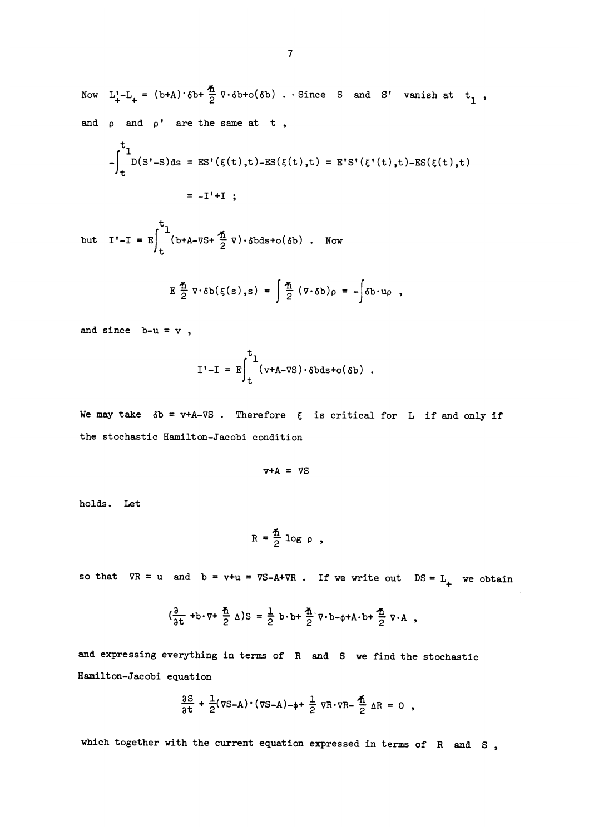Now  $L'_{+}-L_{+} = (b+A)\cdot \delta b + \frac{\pi}{2} \nabla \cdot \delta b + o(\delta b)$ . Since S and S' vanish at  $t_1$ , and  $\rho$  and  $\rho'$  are the same at t,

$$
-\int_{t}^{t_{1}} D(S'-S) ds = ES'(\xi(t), t) - ES(\xi(t), t) = E'S'(\xi'(t), t) - ES(\xi(t), t)
$$
  
= -I' + I ;

but  $I'-I = E \int_{t}^{t} (b+A-\nabla S + \frac{\pi}{2} \nabla) \cdot \delta b ds + o(\delta b)$ . Now

$$
E \frac{\hbar}{2} \nabla \cdot \delta b(\xi(s), s) = \int \frac{\hbar}{2} (\nabla \cdot \delta b) \rho = - \int \delta b \cdot u \rho,
$$

and since  $b-u = v$ ,

$$
I' - I = E \int_{t}^{t} (v+A-\nabla S) \cdot \delta b ds + o(\delta b) .
$$

We may take  $\delta b = v+A-\nabla S$ . Therefore  $\xi$  is critical for L if and only if the stochastic Hamilton-Jacobi condition

$$
v+A = \nabla S
$$

holds. Let

$$
R = \frac{\pi}{2} \log \rho ,
$$

so that  $\nabla R = u$  and  $b = v+u = \nabla S - A + \nabla R$ . If we write out  $DS = L_+$  we obtain

$$
(\frac{3}{3t} + b \cdot \nabla + \frac{\pi}{2} \Delta)S = \frac{1}{2} b \cdot b + \frac{\pi}{2} \nabla \cdot b - \phi + A \cdot b + \frac{\pi}{2} \nabla \cdot A,
$$

and expressing everything in terms of R and S we find the stochastic Hamilton-Jacobi equation

$$
\frac{\partial S}{\partial t} + \frac{1}{2}(\nabla S - A) \cdot (\nabla S - A) - \phi + \frac{1}{2} \nabla R \cdot \nabla R - \frac{1}{2} \Delta R = 0,
$$

which together with the current equation expressed in terms of R and S,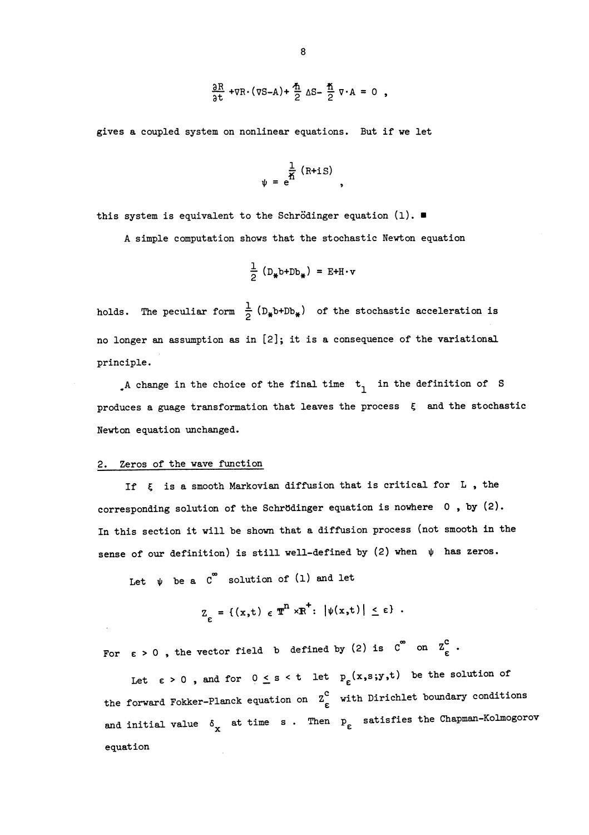$$
\frac{\partial R}{\partial t} + \nabla R \cdot (\nabla S - A) + \frac{\hbar}{2} \Delta S - \frac{\hbar}{2} \nabla \cdot A = 0 ,
$$

gives a coupled system on nonlinear equations. But if we let

$$
\psi = e^{\frac{1}{n} (R + iS)},
$$

this system is equivalent to the Schrödinger equation  $(1)$ .

A simple computation shows that the stochastic Newton equation

$$
\frac{1}{2} (D_{\ast} b + Db_{\ast}) = E + H \cdot v
$$

holds. The peculiar form  $\frac{1}{2}$  (D<sub>#</sub>b+Db<sub>\*</sub>) of the stochastic acceleration is no longer an assumption as in [2]; it is a consequence of the variational principle.

. A change in the choice of the final time  $t_1$  in the definition of S produces a guage transformation that leaves the process  $\xi$  and the stochastic Newton equation unchanged.

#### 2. Zeros of the wave function

If  $\xi$  is a smooth Markovian diffusion that is critical for L, the corresponding solution of the Schrödinger equation is nowhere  $0$ , by  $(2)$ . In this section it will be shown that a diffusion process (not smooth in the sense of our definition) is still well-defined by (2) when  $\psi$  has zeros.

Let  $\psi$  be a  $C^{\infty}$  solution of (1) and let

$$
Z_{\varepsilon} = \{ (x,t) \in \mathbb{T}^n \times \mathbb{R}^+ : |\psi(x,t)| \leq \varepsilon \} .
$$

For  $\varepsilon > 0$ , the vector field b defined by (2) is  $C^{\infty}$  on  $Z_{\varepsilon}^{C}$ .

Let  $\varepsilon > 0$ , and for  $0 \leq s < t$  let  $p_{\varepsilon}(x,s;y,t)$  be the solution of the forward Fokker-Planck equation on  $z_{\epsilon}^c$  with Dirichlet boundary conditions and initial value  $\delta_{\mathbf{x}}$  at time s. Then  $\mathbf{p}_{\varepsilon}$  satisfies the Chapman-Kolmogorov equation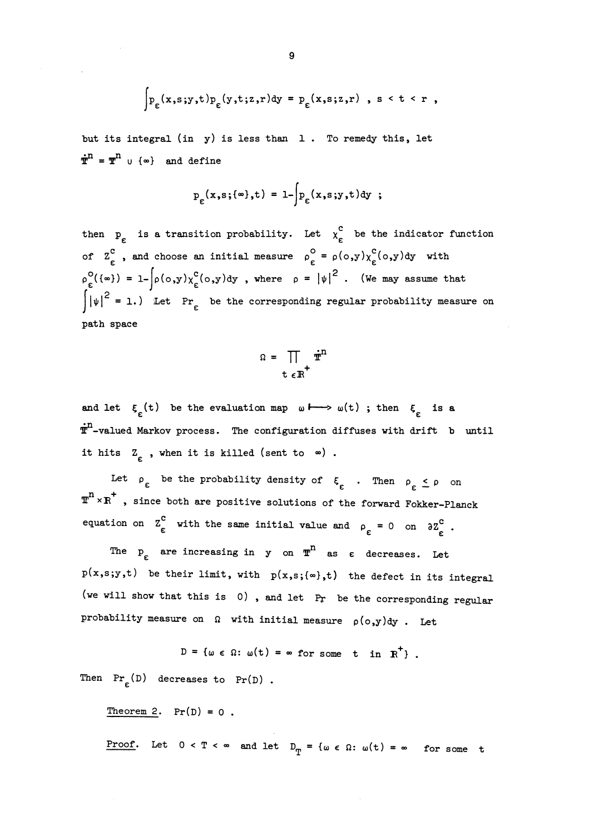$$
\int_{P_{\varepsilon}}(x,s;y,t)p_{\varepsilon}(y,t;z,r)dy = p_{\varepsilon}(x,s;z,r) , s < t < r ,
$$

but its integral (in  $y$ ) is less than  $1$ . To remedy this, let  $\dot{\mathbf{T}}^{\mathbf{n}} = \mathbf{T}^{\mathbf{n}}$  u { $\infty$ } and define

$$
p_{\varepsilon}(x,s; \{\infty\},t) = 1 - \int p_{\varepsilon}(x,s; y,t) dy ;
$$

then  $p_c$  is a transition probability. Let  $\chi_c^c$  be the indicator function of  $Z_{\epsilon}^{c}$ , and choose an initial measure  $\rho_{\epsilon}^{o} = \rho(o,y)\chi_{\epsilon}^{c}(o,y)dy$  with  $\rho_{\epsilon}^{O}(\{\infty\}) = 1 - \left[\rho(o, y)\chi_{\epsilon}^{C}(o, y)dy\right],$  where  $\rho = |\psi|^{2}$ . (We may assume that  $\left| \psi \right|^2 = 1.$ ) Let Pr<sub>c</sub> be the corresponding regular probability measure on path space

$$
\Omega = \prod_{t \in \mathbb{R}^+} \dot{\mathbf{r}}^n
$$

and let  $\xi_c(t)$  be the evaluation map  $\omega \mapsto \omega(t)$ ; then  $\xi_c$  is a  $\dot{\textbf{T}}^n$ -valued Markov process. The configuration diffuses with drift b until  $\begin{bmatrix} 1 & -\text{valued Markov process.} \\ \text{if hits} & Z_{\varepsilon} \end{bmatrix}$ , when it is killed (sent to  $\infty$ ).

Let  $\rho_{\varepsilon}$  be the probability density of  $\xi_{\varepsilon}$  . Then  $\rho_{\varepsilon} \leq \rho$  on  $m^{n} \times R^{+}$  , since both are positive solutions of the forward Fokker-Planck equation on  $\sum_{\epsilon}$  with the same initial value and  $\rho_{\epsilon} = 0$  on  $\partial \Sigma_{\epsilon}^{\text{c}}$ .

The  $p_{\varepsilon}$  are increasing in y on  $\mathbb{T}^{n}$  as  $\varepsilon$  decreases. Let  $p(x, s; y, t)$  be their limit, with  $p(x, s; \{\infty\}, t)$  the defect in its integral (we will show that this is  $0)$ , and let  $Pr$  be the corresponding regular probability measure on  $\Omega$  with initial measure  $\rho(\circ, y)$ dy. Let

$$
D = \{ \omega \in \Omega : \omega(t) = \infty \text{ for some } t \text{ in } R^+\}.
$$

Then  $Pr_{\rho} (D)$  decreases to  $Pr(D)$ .

Theorem 2.  $Pr(D) = 0$ .

Proof. Let  $0 < T < \infty$  and let  $D_T = {\omega \in \Omega : \omega(t) = \infty \text{ for some } t}$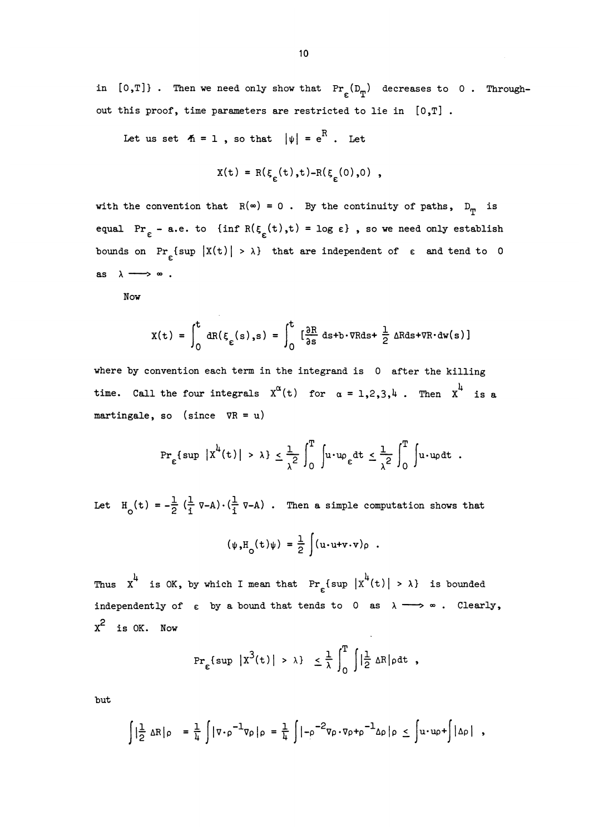in [O,T]}. Then we need only show that  $Pr_{\epsilon}(D_{\mathbf{T}})$  decreases to 0. Throughout this proof, time parameters are restricted to lie in [O,T] .

Let us set  $\mathbf{A} = 1$ , so that  $|\psi| = e^R$ . Let

$$
X(t) = R(\xi_{\varepsilon}(t), t) - R(\xi_{\varepsilon}(0), 0) ,
$$

with the convention that  $R(\infty) = 0$ . By the continuity of paths,  $D_{\text{rp}}$  is equal Pr<sub> $\varepsilon$ </sub> - a.e. to {inf R( $\xi$ <sub> $_{\varepsilon}$ </sub>(t),t) = log  $\varepsilon$ }, so we need only establish bounds on Pr<sub> $\xi$ </sub> {sup  $|X(t)| > \lambda$ } that are independent of  $\varepsilon$  and tend to 0 as  $\lambda \longrightarrow \infty$ .

Now

$$
X(t) = \int_0^t dR(\xi_{\varepsilon}(s), s) = \int_0^t \left[\frac{\partial R}{\partial s} ds + b \cdot \nabla R ds + \frac{1}{2} \Delta R ds + \nabla R \cdot dw(s)\right]
$$

where by convention each term in the integrand is 0 after the killing time. Call the four integrals  $X^{\alpha}(t)$  for  $\alpha = 1,2,3,4$ . Then  $X^{\alpha}$  is a martingale, so (since  $\nabla R = u$ )

$$
\Pr_{\varepsilon}\{\sup\, \big|\,x^{\lambda}(t)\,\big| \,>\,\lambda \}\,\leq \frac{1}{\lambda^2}\,\int_0^T\,\int\!\!u\!\cdot\!\mathfrak{w}_{\varepsilon}dt\,\leq \frac{1}{\lambda^2}\,\int_0^T\,\int\!\!u\!\cdot\!\mathfrak{w}_{\rho}dt\enspace.
$$

Let  $H_0(t) = -\frac{1}{2} (\frac{1}{i} \nabla - A) \cdot (\frac{1}{i} \nabla - A)$ . Then a simple computation shows that

$$
(\psi_* \mathbf{H}_0(\mathbf{t})\psi) = \frac{1}{2} \int (\mathbf{u} \cdot \mathbf{u} + \mathbf{v} \cdot \mathbf{v}) \rho
$$

Thus  $x^4$  is OK, by which I mean that  $Pr_{\epsilon} \{ sup |x^4(t)| > \lambda \}$  is bounded independently of  $\varepsilon$  by a bound that tends to 0 as  $\lambda \longrightarrow \infty$ . Clearly,  $x^2$  is OK. Now

$$
\Pr_{\varepsilon} \{ \sup \, |x^3(t)| \, > \, \lambda \} \leq \frac{1}{\lambda} \int_0^T \, \int \big| \frac{1}{2} \, \Delta R \big| \rho \, dt \ ,
$$

but

$$
\int \left|\frac{1}{2} \Delta R\right| \rho = \frac{1}{4} \int |\nabla \cdot \rho^{-1} \nabla \rho| \rho = \frac{1}{4} \int \left|-\rho^{-2} \nabla \rho \cdot \nabla \rho + \rho^{-1} \Delta \rho\right| \rho \leq \int u \cdot u \rho + \int |\Delta \rho| ,
$$